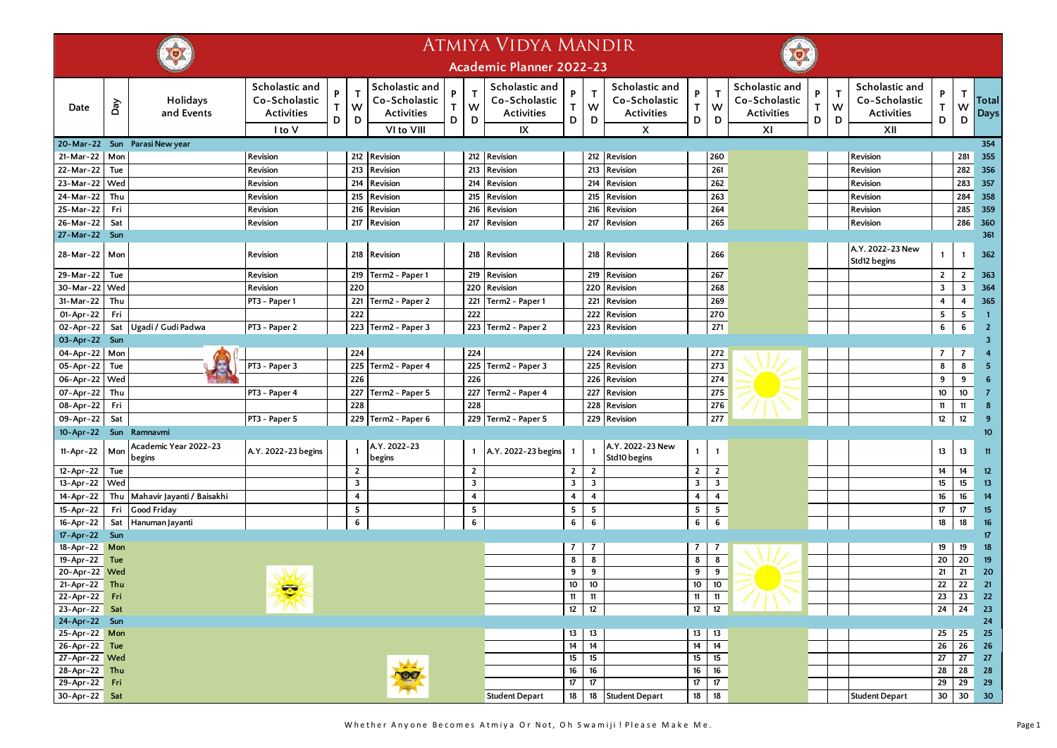|                            |     |                                 |                                                                |                       |                | <b>ATMIYA VIDYA MANDIR</b>                                         |             |                         |                                                            |                       |                        |                                                           |                       |                       |                                                            |             |             |                                                             |                  |                                 |                         |
|----------------------------|-----|---------------------------------|----------------------------------------------------------------|-----------------------|----------------|--------------------------------------------------------------------|-------------|-------------------------|------------------------------------------------------------|-----------------------|------------------------|-----------------------------------------------------------|-----------------------|-----------------------|------------------------------------------------------------|-------------|-------------|-------------------------------------------------------------|------------------|---------------------------------|-------------------------|
|                            |     |                                 |                                                                |                       |                |                                                                    |             |                         | <b>Academic Planner 2022-23</b>                            |                       |                        |                                                           |                       |                       |                                                            |             |             |                                                             |                  |                                 |                         |
| Date                       | Day | Holidays<br>and Events          | Scholastic and<br>Co-Scholastic<br><b>Activities</b><br>I to V | P<br>$\mathsf T$<br>D | T<br>W<br>D    | Scholastic and<br>Co-Scholastic<br><b>Activities</b><br>VI to VIII | P<br>T<br>D | $\mathsf{T}$<br>W<br>D  | Scholastic and<br>Co-Scholastic<br><b>Activities</b><br>IX | P<br>$\mathsf T$<br>D | $\mathsf{T}$<br>W<br>D | Scholastic and<br>Co-Scholastic<br><b>Activities</b><br>X | P<br>$\mathsf T$<br>D | $\mathsf T$<br>W<br>D | Scholastic and<br>Co-Scholastic<br><b>Activities</b><br>XI | P<br>T<br>D | T<br>W<br>D | Scholastic and<br>Co-Scholastic<br><b>Activities</b><br>XII | P<br>T.<br>D     | $\mathsf{T}$<br>W<br>D          | <b>Total</b><br>Days    |
|                            |     | 20-Mar-22 Sun Parasi New year   |                                                                |                       |                |                                                                    |             |                         |                                                            |                       |                        |                                                           |                       |                       |                                                            |             |             |                                                             |                  |                                 | 354                     |
| 21-Mar-22                  | Mon |                                 | Revision                                                       |                       |                | 212 Revision                                                       |             |                         | 212 Revision                                               |                       | 212                    | Revision                                                  |                       | 260                   |                                                            |             |             | Revision                                                    |                  | 281                             | 355                     |
| 22-Mar-22                  | Tue |                                 | Revision                                                       |                       | 213            | Revision                                                           |             | 213                     | Revision                                                   |                       | 213                    | Revision                                                  |                       | 261                   |                                                            |             |             | Revision                                                    |                  | 282                             | 356                     |
| 23-Mar-22                  | Wed |                                 | Revision                                                       |                       | 214            | Revision                                                           |             | 214                     | Revision                                                   |                       | 214                    | Revision                                                  |                       | 262                   |                                                            |             |             | Revision                                                    |                  | 283                             | 357                     |
| 24-Mar-22                  | Thu |                                 | Revision                                                       |                       | 215            | Revision                                                           |             | 215                     | Revision                                                   |                       | 215                    | Revision                                                  |                       | 263                   |                                                            |             |             | Revision                                                    |                  | 284                             | 358                     |
| 25-Mar-22                  | Fri |                                 | Revision                                                       |                       | 216            | Revision                                                           |             | 216                     | Revision                                                   |                       | 216                    | Revision                                                  |                       | 264                   |                                                            |             |             | Revision                                                    |                  | 285                             | 359                     |
| 26-Mar-22                  | Sat |                                 | Revision                                                       |                       | 217            | Revision                                                           |             |                         | 217 Revision                                               |                       | 217                    | Revision                                                  |                       | 265                   |                                                            |             |             | Revision                                                    |                  | 286                             | 360                     |
| 27-Mar-22 Sun              |     |                                 |                                                                |                       |                |                                                                    |             |                         |                                                            |                       |                        |                                                           |                       |                       |                                                            |             |             |                                                             |                  |                                 | 361                     |
| 28-Mar-22                  | Mon |                                 | Revision                                                       |                       |                | 218 Revision                                                       |             |                         | 218 Revision                                               |                       | 218                    | Revision                                                  |                       | 266                   |                                                            |             |             | A.Y. 2022-23 New<br>Std12 begins                            | $\mathbf{1}$     | $\mathbf{1}$                    | 362                     |
| 29-Mar-22                  | Tue |                                 | Revision                                                       |                       | 219            | Term2 - Paper 1                                                    |             | 219                     | Revision                                                   |                       | 219                    | Revision                                                  |                       | 267                   |                                                            |             |             |                                                             | $\overline{2}$   | $\overline{2}$                  | 363                     |
| 30-Mar-22                  | Wed |                                 | Revision                                                       |                       | 220            |                                                                    |             | 220                     | Revision                                                   |                       | 220                    | Revision                                                  |                       | 268                   |                                                            |             |             |                                                             | 3                | 3                               | 364                     |
| 31-Mar-22                  | Thu |                                 | PT3 - Paper 1                                                  |                       |                | 221 Term2 - Paper 2                                                |             |                         | 221 Term2 - Paper 1                                        |                       | 221                    | Revision                                                  |                       | 269                   |                                                            |             |             |                                                             | 4                | 4                               | 365                     |
| 01-Apr-22                  | Fri |                                 |                                                                |                       | 222            |                                                                    |             | 222                     |                                                            |                       | 222                    | Revision                                                  |                       | 270                   |                                                            |             |             |                                                             | 5                | 5                               | $\overline{1}$          |
| 02-Apr-22                  | Sat | Ugadi / Gudi Padwa              | PT3 - Paper 2                                                  |                       |                | 223 Term2 - Paper 3                                                |             |                         | 223 Term2 - Paper 2                                        |                       | 223                    | Revision                                                  |                       | 271                   |                                                            |             |             |                                                             | 6                | 6                               | $\overline{2}$          |
| 03-Apr-22 Sun              |     |                                 |                                                                |                       |                |                                                                    |             |                         |                                                            |                       |                        |                                                           |                       |                       |                                                            |             |             |                                                             |                  |                                 | $\overline{\mathbf{3}}$ |
| 04-Apr-22 Mon              |     |                                 |                                                                |                       | 224            |                                                                    |             | 224                     |                                                            |                       | 224                    | Revision                                                  |                       | 272                   |                                                            |             |             |                                                             | $\overline{7}$   | $\overline{7}$                  |                         |
| 05-Apr-22                  | Tue |                                 | PT3 - Paper 3                                                  |                       |                | 225 Term2 - Paper 4                                                |             | 225                     | Term2 - Paper 3                                            |                       | 225                    | Revision                                                  |                       | 273                   |                                                            |             |             |                                                             | 8                | 8                               | 5                       |
| 06-Apr-22                  | Wed |                                 |                                                                |                       | 226            |                                                                    |             | 226                     |                                                            |                       | 226                    | Revision                                                  |                       | 274                   |                                                            |             |             |                                                             | 9                | 9                               | 6                       |
| 07-Apr-22                  | Thu |                                 | PT3 - Paper 4                                                  |                       |                | 227 Term2 - Paper 5                                                |             | 227                     | Term2 - Paper 4                                            |                       | 227                    | Revision                                                  |                       | 275                   |                                                            |             |             |                                                             | 10               | 10                              | -7                      |
| 08-Apr-22                  | Fri |                                 |                                                                |                       | 228            |                                                                    |             | 228                     |                                                            |                       | 228                    | Revision                                                  |                       | 276                   |                                                            |             |             |                                                             | 11               | 11                              | $\boldsymbol{8}$        |
| 09-Apr-22                  | Sat |                                 | PT3 - Paper 5                                                  |                       |                | 229 Term2 - Paper 6                                                |             |                         | 229 Term2 - Paper 5                                        |                       | 229                    | Revision                                                  |                       | 277                   |                                                            |             |             |                                                             | 12               | 12                              | 9                       |
|                            |     | 10-Apr-22 Sun Ramnavmi          |                                                                |                       |                |                                                                    |             |                         |                                                            |                       |                        |                                                           |                       |                       |                                                            |             |             |                                                             |                  |                                 | 10                      |
| 11-Apr-22                  | Mon | Academic Year 2022-23<br>begins | A.Y. 2022-23 begins                                            |                       |                | A.Y. 2022-23<br>begins                                             |             | $\mathbf{1}$            | A.Y. 2022-23 begins                                        | 1                     |                        | A.Y. 2022-23 New<br>Std10 begins                          | $\mathbf{1}$          | $\mathbf{1}$          |                                                            |             |             |                                                             | 13               | 13                              | 11                      |
| 12-Apr-22                  | Tue |                                 |                                                                |                       | $\overline{2}$ |                                                                    |             | $\overline{2}$          |                                                            | $\overline{2}$        | $\overline{2}$         |                                                           | $\overline{2}$        | $\overline{2}$        |                                                            |             |             |                                                             | 14               | 14                              | $12 \overline{ }$       |
| 13-Apr-22                  | Wed |                                 |                                                                |                       | 3              |                                                                    |             | $\overline{\mathbf{3}}$ |                                                            | 3                     | 3                      |                                                           | 3                     | $\mathbf{3}$          |                                                            |             |             |                                                             | 15 <sub>15</sub> | 15                              | 13                      |
| 14-Apr-22                  |     | Thu Mahavir Jayanti / Baisakhi  |                                                                |                       | 4              |                                                                    |             | $\overline{\mathbf{4}}$ |                                                            | 4                     | 4                      |                                                           | 4                     | $\overline{4}$        |                                                            |             |             |                                                             | 16               | 16                              | 14                      |
| 15-Apr-22                  | Fri | Good Friday                     |                                                                |                       | 5              |                                                                    |             | $5\phantom{.0}$         |                                                            | 5                     | 5                      |                                                           | 5                     | 5                     |                                                            |             |             |                                                             | 17               | 17                              | 15                      |
| 16-Apr-22                  | Sat | Hanuman Jayanti                 |                                                                |                       | 6              |                                                                    |             | 6                       |                                                            | 6                     | 6                      |                                                           | 6                     | 6                     |                                                            |             |             |                                                             | 18               | 18                              | 16                      |
| $17 - Apr - 22$            | Sun |                                 |                                                                |                       |                |                                                                    |             |                         |                                                            |                       | $\overline{7}$         |                                                           |                       |                       |                                                            |             |             |                                                             |                  |                                 | 17                      |
| 18-Apr-22 Mon<br>19-Apr-22 | Tue |                                 |                                                                |                       |                |                                                                    |             |                         |                                                            | $\overline{7}$<br>8   | 8                      |                                                           | $\overline{7}$<br>8   | $\overline{7}$<br>8   |                                                            |             |             |                                                             | 19<br>20         | 19<br>20                        | 18<br>19                |
| 20-Apr-22 Wed              |     |                                 |                                                                |                       |                |                                                                    |             |                         |                                                            | 9                     | 9                      |                                                           | 9                     | 9                     |                                                            |             |             |                                                             | 21               | 21                              | 20                      |
| $21-Apr-22$ Thu            |     |                                 |                                                                |                       |                |                                                                    |             |                         |                                                            | 10                    | 10                     |                                                           | 10                    | 10                    |                                                            |             |             |                                                             | 22               | 22                              | 21                      |
| 22-Apr-22 Fri              |     |                                 | $\bullet$                                                      |                       |                |                                                                    |             |                         |                                                            | 11                    | 11                     |                                                           | 11                    | 11                    |                                                            |             |             |                                                             | $23 \mid 23$     |                                 | 22                      |
| 23-Apr-22 Sat              |     |                                 |                                                                |                       |                |                                                                    |             |                         |                                                            | 12                    | 12                     |                                                           | $\overline{12}$       | 12                    |                                                            |             |             |                                                             | 24               | $\overline{24}$ 23              |                         |
| 24-Apr-22 Sun              |     |                                 |                                                                |                       |                |                                                                    |             |                         |                                                            |                       |                        |                                                           |                       |                       |                                                            |             |             |                                                             |                  |                                 | 24                      |
| 25-Apr-22 Mon              |     |                                 |                                                                |                       |                |                                                                    |             |                         |                                                            | 13                    | $\overline{13}$        |                                                           |                       | $13 \mid 13$          |                                                            |             |             |                                                             |                  | $25$   25                       | 25                      |
| $26 - Apr - 22$ Tue        |     |                                 |                                                                |                       |                |                                                                    |             |                         |                                                            | 14                    | $\overline{14}$        |                                                           | 14                    | 14                    |                                                            |             |             |                                                             | 26               | 26                              | 26                      |
| 27-Apr-22 Wed              |     |                                 |                                                                |                       |                |                                                                    |             |                         |                                                            | 15                    | 15                     |                                                           | 15                    | 15                    |                                                            |             |             |                                                             | 27               | $\overline{27}$ $\overline{27}$ |                         |
| 28-Apr-22 Thu              |     |                                 |                                                                |                       |                | BO                                                                 |             |                         |                                                            |                       | $16$ 16                |                                                           | 16                    | 16                    |                                                            |             |             |                                                             |                  | $28$ $28$ $28$                  |                         |
| $29 - Apr - 22$ Fri        |     |                                 |                                                                |                       |                |                                                                    |             |                         |                                                            | 17                    | 17 <sup>2</sup>        |                                                           | 17                    | $\overline{17}$       |                                                            |             |             |                                                             |                  | 29 29 29                        |                         |
| $30 - Apr - 22$ Sat        |     |                                 |                                                                |                       |                |                                                                    |             |                         | <b>Student Depart</b>                                      | 18                    |                        | 18 Student Depart                                         | 18                    | 18                    |                                                            |             |             | <b>Student Depart</b>                                       |                  |                                 | $30 \ 30 \ 30$          |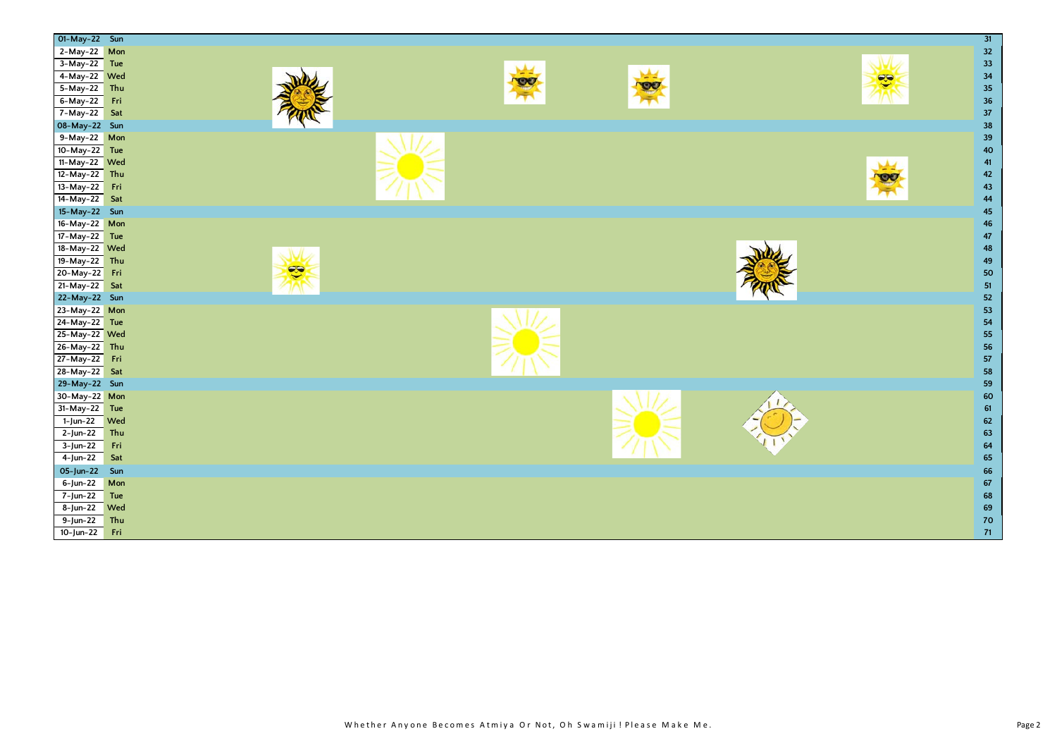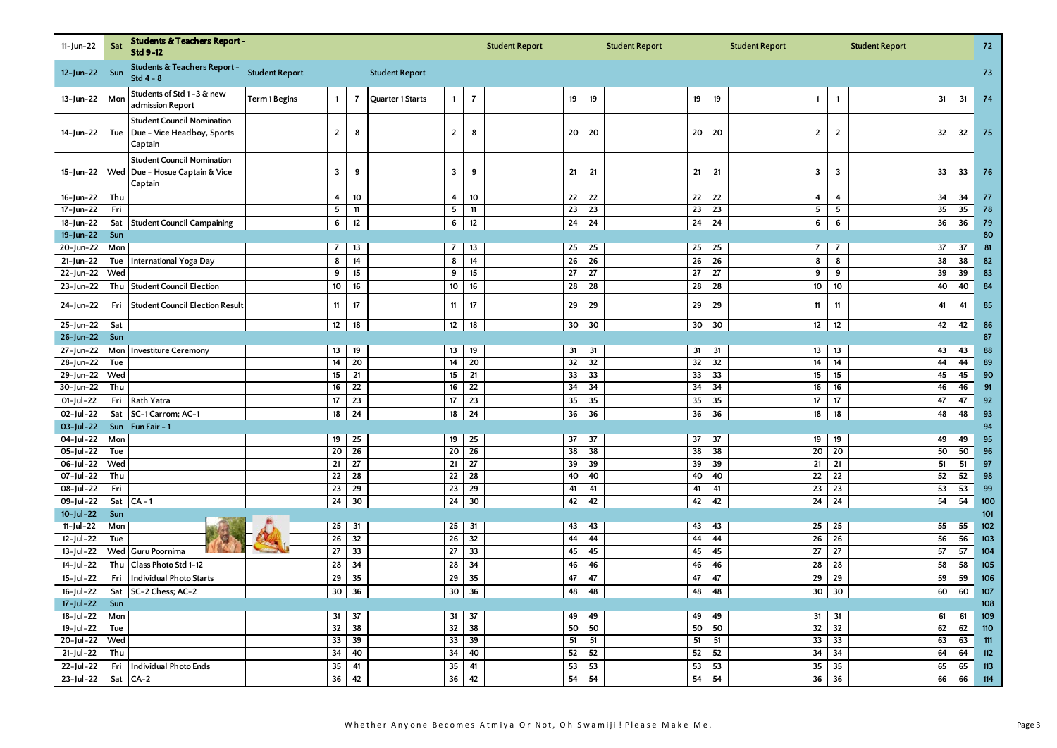| 11-Jun-22         | Sat | Students & Teachers Report -<br>Std 9-12                                       |                       |                         |                 |                       |                         |                | <b>Student Report</b> |                 |                 | <b>Student Report</b> |                 |                 | <b>Student Report</b> |                   |                 | <b>Student Report</b> |    |    | 72  |
|-------------------|-----|--------------------------------------------------------------------------------|-----------------------|-------------------------|-----------------|-----------------------|-------------------------|----------------|-----------------------|-----------------|-----------------|-----------------------|-----------------|-----------------|-----------------------|-------------------|-----------------|-----------------------|----|----|-----|
| $12$ -Jun-22 Sun  |     | Students & Teachers Report -<br>Std $4 - 8$                                    | <b>Student Report</b> |                         |                 | <b>Student Report</b> |                         |                |                       |                 |                 |                       |                 |                 |                       |                   |                 |                       |    |    | 73  |
| 13-Jun-22         | Mon | Students of Std 1-3 & new<br>admission Report                                  | Term 1 Begins         | $\mathbf{1}$            | $\overline{7}$  | Quarter 1 Starts      | $\overline{1}$          | $\overline{7}$ |                       | 19              | 19              |                       | 19              | 19              |                       | $\mathbf{1}$      | $\mathbf{1}$    |                       | 31 | 31 | 74  |
| 14-Jun-22         | Tue | <b>Student Council Nomination</b><br>Due - Vice Headboy, Sports<br>Captain     |                       | $\overline{2}$          | 8               |                       | $\overline{2}$          | 8              |                       | 20              | 20              |                       | 20              | 20              |                       | $\overline{2}$    | $\overline{2}$  |                       | 32 | 32 | 75  |
| 15-Jun-22         |     | <b>Student Council Nomination</b><br>Wed Due - Hosue Captain & Vice<br>Captain |                       | $\mathbf{3}$            | 9               |                       | 3                       | 9              |                       | 21              | 21              |                       | 21              | 21              |                       | 3                 | 3               |                       | 33 | 33 | 76  |
| 16-Jun-22         | Thu |                                                                                |                       | 4                       | 10              |                       | $\overline{\mathbf{4}}$ | 10             |                       | 22              | 22              |                       | 22              | 22              |                       | 4                 | 4               |                       | 34 | 34 | 77  |
| 17-Jun-22         | Fri |                                                                                |                       | $\overline{\mathbf{5}}$ | $11$            |                       | $\overline{\mathbf{5}}$ | 11             |                       | $\overline{23}$ | $\overline{23}$ |                       | $\overline{23}$ | $\overline{23}$ |                       | 5                 | 5               |                       | 35 | 35 | 78  |
| 18-Jun-22         | Sat | <b>Student Council Campaining</b>                                              |                       | 6                       | 12              |                       | 6                       | 12             |                       | 24              | 24              |                       | 24              | 24              |                       | 6                 | 6               |                       | 36 | 36 | 79  |
| $19 - Jun - 22$   | Sun |                                                                                |                       |                         |                 |                       |                         |                |                       |                 |                 |                       |                 |                 |                       |                   |                 |                       |    |    | 80  |
| 20-Jun-22         | Mon |                                                                                |                       | $\overline{7}$          | 13              |                       | $\overline{7}$          | 13             |                       | 25              | 25              |                       | 25              | 25              |                       | $\overline{7}$    | $\overline{7}$  |                       | 37 | 37 | 81  |
| 21-Jun-22         | Tue | <b>International Yoga Day</b>                                                  |                       | 8                       | 14              |                       | 8                       | 14             |                       | 26              | 26              |                       | 26              | 26              |                       | 8                 | 8               |                       | 38 | 38 | 82  |
| 22-Jun-22         | Wed |                                                                                |                       | 9                       | 15              |                       | 9                       | 15             |                       | 27              | 27              |                       | $\overline{27}$ | 27              |                       | 9                 | 9               |                       | 39 | 39 | 83  |
| 23-Jun-22         | Thu | <b>Student Council Election</b>                                                |                       | 10                      | 16              |                       | 10                      | 16             |                       | 28              | 28              |                       | 28              | 28              |                       | $10\,$            | 10              |                       | 40 | 40 | 84  |
| 24-Jun-22         | Fri | <b>Student Council Election Result</b>                                         |                       | 11                      | 17              |                       | 11                      | 17             |                       | 29              | 29              |                       | 29              | 29              |                       | 11                | 11              |                       | 41 | 41 | 85  |
| 25-Jun-22         | Sat |                                                                                |                       | 12                      | 18              |                       | 12                      | 18             |                       | 30              | 30              |                       | 30              | 30              |                       | $12 \overline{ }$ | 12              |                       | 42 | 42 | 86  |
| 26-Jun-22         | Sun |                                                                                |                       |                         |                 |                       |                         |                |                       |                 |                 |                       |                 |                 |                       |                   |                 |                       |    |    | 87  |
| 27-Jun-22         | Mon | <b>Investiture Ceremony</b>                                                    |                       | 13                      | 19              |                       | 13                      | 19             |                       | 31              | 31              |                       | 31              | 31              |                       | 13                | 13              |                       | 43 | 43 | 88  |
| 28-Jun-22         | Tue |                                                                                |                       | 14                      | 20              |                       | 14                      | 20             |                       | 32              | 32              |                       | 32              | 32              |                       | 14                | 14              |                       | 44 | 44 | 89  |
| 29-Jun-22         | Wed |                                                                                |                       | 15                      | 21              |                       | 15                      | 21             |                       | 33              | 33              |                       | 33              | 33              |                       | 15                | 15              |                       | 45 | 45 | 90  |
| 30-Jun-22         | Thu |                                                                                |                       | 16                      | 22              |                       | 16                      | 22             |                       | 34              | 34              |                       | 34              | 34              |                       | 16                | 16              |                       | 46 | 46 | 91  |
| 01-Jul-22         | Fri | Rath Yatra                                                                     |                       | 17                      | 23              |                       | 17                      | 23             |                       | 35              | 35              |                       | 35              | 35              |                       | 17                | 17              |                       | 47 | 47 | 92  |
| 02-Jul-22         |     | Sat SC-1 Carrom; AC-1                                                          |                       | 18                      | 24              |                       | 18                      | 24             |                       | 36              | 36              |                       | 36              | 36              |                       | 18                | 18              |                       | 48 | 48 | 93  |
| 03-Jul-22         |     | Sun Fun Fair - 1                                                               |                       |                         |                 |                       |                         |                |                       |                 |                 |                       |                 |                 |                       |                   |                 |                       |    |    | 94  |
| $04$ -Jul-22      | Mon |                                                                                |                       | 19                      | 25              |                       | 19                      | 25             |                       | 37              | 37              |                       | 37              | 37              |                       | 19                | 19              |                       | 49 | 49 | 95  |
| 05-Jul-22         | Tue |                                                                                |                       | 20                      | 26              |                       | 20                      | 26             |                       | 38              | 38              |                       | 38              | 38              |                       | 20                | $\overline{20}$ |                       | 50 | 50 | 96  |
| 06-Jul-22         | Wed |                                                                                |                       | 21                      | $\overline{27}$ |                       | 21                      | 27             |                       | 39              | 39              |                       | 39              | 39              |                       | 21                | 21              |                       | 51 | 51 | 97  |
| 07-Jul-22         | Thu |                                                                                |                       | $\overline{22}$         | $\overline{28}$ |                       | $\overline{22}$         | 28             |                       | 40              | 40              |                       | 40              | 40              |                       | $\overline{22}$   | $\overline{22}$ |                       | 52 | 52 | 98  |
| 08-Jul-22         | Fri |                                                                                |                       | 23                      | 29              |                       | 23                      | 29             |                       | 41              | 41              |                       | 41              | 41              |                       | 23                | 23              |                       | 53 | 53 | 99  |
| 09-Jul-22         | Sat | $CA - 1$                                                                       |                       | 24                      | 30              |                       | 24                      | 30             |                       | 42              | 42              |                       | 42              | 42              |                       | 24                | 24              |                       | 54 | 54 | 100 |
| $10$ -Jul-22      | Sun |                                                                                |                       |                         |                 |                       |                         |                |                       |                 |                 |                       |                 |                 |                       |                   |                 |                       |    |    | 101 |
| 11-Jul-22         | Mon |                                                                                |                       | 25                      | 31              |                       | 25                      | 31             |                       | 43              | 43              |                       | 43              | 43              |                       | 25                | 25              |                       | 55 | 55 | 102 |
| 12-Jul-22         | Tue |                                                                                |                       | 26                      | 32              |                       | 26                      | 32             |                       | 44              | 44              |                       | 44              | 44              |                       | 26                | 26              |                       | 56 | 56 | 103 |
| $13 -$ Jul - 22   | Wed | Guru Poornima                                                                  |                       | ${\bf 27}$              | 33              |                       | 27                      | 33             |                       | 45              | 45              |                       | 45              | 45              |                       | 27                | 27              |                       | 57 | 57 | 104 |
| 14-Jul-22         | Thu | Class Photo Std 1-12                                                           |                       | ${\bf 28}$              | 34              |                       | 28                      | 34             |                       | 46              | 46              |                       | 46              | 46              |                       | 28                | 28              |                       | 58 | 58 | 105 |
| $15 -$ Jul - 22   | Fri | <b>Individual Photo Starts</b>                                                 |                       | 29                      | 35              |                       | 29                      | 35             |                       | 47              | 47              |                       | 47              | 47              |                       | 29                | 29              |                       | 59 | 59 | 106 |
| $16 -$ Jul - $22$ | Sat | SC-2 Chess; AC-2                                                               |                       | 30                      | 36              |                       | 30                      | 36             |                       | 48              | 48              |                       | 48              | 48              |                       | 30                | 30              |                       | 60 | 60 | 107 |
| $17 -$ Jul - 22   | Sun |                                                                                |                       |                         |                 |                       |                         |                |                       |                 |                 |                       |                 |                 |                       |                   |                 |                       |    |    | 108 |
| $18 -$ Jul - 22   | Mon |                                                                                |                       | 31                      | 37              |                       | 31                      | 37             |                       | 49              | 49              |                       | 49              | 49              |                       | 31                | 31              |                       | 61 | 61 | 109 |
| $19$ -Jul-22      | Tue |                                                                                |                       | 32                      | 38              |                       | 32                      | 38             |                       | 50              | 50              |                       | 50              | 50              |                       | 32                | 32              |                       | 62 | 62 | 110 |
| 20-Jul-22         | Wed |                                                                                |                       | 33                      | 39              |                       | 33                      | 39             |                       | 51              | 51              |                       | 51              | 51              |                       | 33                | 33              |                       | 63 | 63 | 111 |
| $21 -$ Jul - 22   | Thu |                                                                                |                       | 34                      | 40              |                       | 34                      | 40             |                       | 52              | 52              |                       | 52              | 52              |                       | 34                | 34              |                       | 64 | 64 | 112 |
| $22$ -Jul-22      | Fri | <b>Individual Photo Ends</b>                                                   |                       | 35                      | 41              |                       | 35                      | 41             |                       | 53              | 53              |                       | 53              | 53              |                       | 35                | 35              |                       | 65 | 65 | 113 |
| 23-Jul-22         | Sat | $CA-2$                                                                         |                       | 36                      | 42              |                       | 36                      | 42             |                       | 54              | 54              |                       | 54              | 54              |                       | 36                | 36              |                       | 66 | 66 | 114 |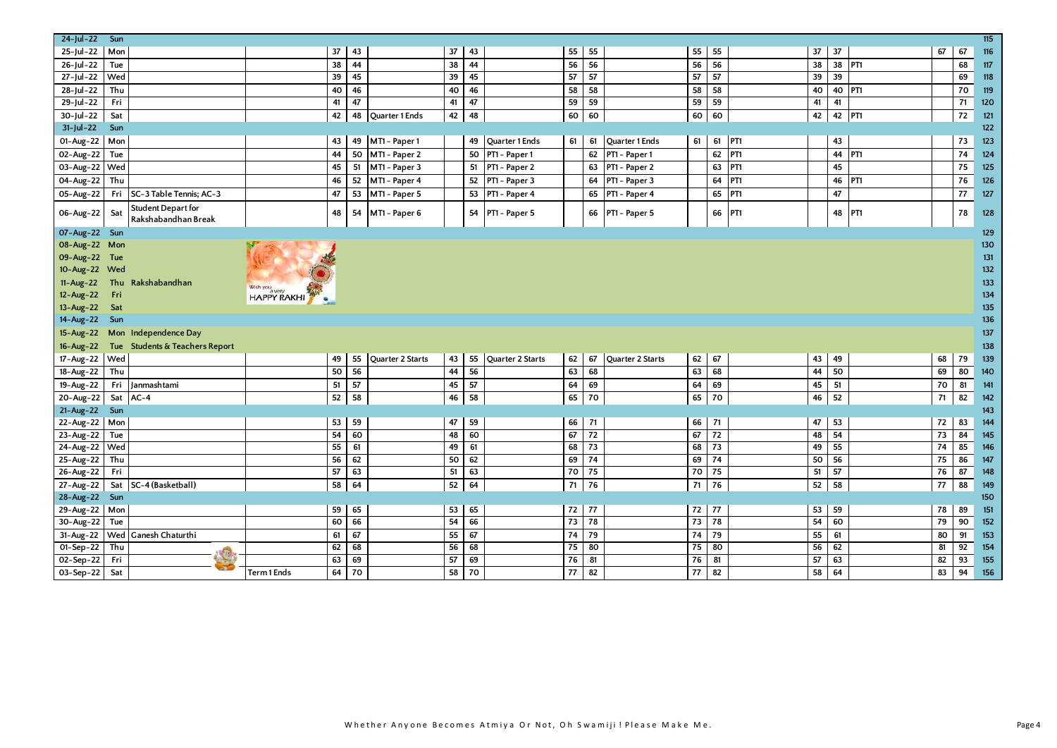| 24-Jul-22 Sun    |     |                                                  |                       |          |                   |                        |          |                   |                 |             |                         |                 |          |                 |    |          |                 |          |                 | $115$ |
|------------------|-----|--------------------------------------------------|-----------------------|----------|-------------------|------------------------|----------|-------------------|-----------------|-------------|-------------------------|-----------------|----------|-----------------|----|----------|-----------------|----------|-----------------|-------|
| $25$ -Jul-22 Mon |     |                                                  |                       | 37       | 43                | 37                     | 43       |                   | 55              | 55          |                         | 55              | 55       |                 | 37 | 37       |                 | 67       | 67              | 116   |
| 26-Jul-22        | Tue |                                                  |                       | 38       | 44                | 38                     | 44       |                   | 56              | 56          |                         | 56              | 56       |                 | 38 | 38       | PT <sub>1</sub> |          | 68              | 117   |
| 27-Jul-22 Wed    |     |                                                  |                       | 39       | 45                | 39                     | 45       |                   | 57              | 57          |                         | 57              | 57       |                 | 39 | 39       |                 |          | 69              | 118   |
|                  | Thu |                                                  |                       |          | 46                |                        | 46       |                   | 58              | 58          |                         | 58              |          |                 |    | 40 PT1   |                 |          | 70              |       |
| 28-Jul-22        |     |                                                  |                       | 40       | 47                | 40                     |          |                   |                 |             |                         |                 | 58       |                 | 40 |          |                 |          |                 | 119   |
| 29-Jul-22        | Fri |                                                  |                       | 41       |                   | 41                     | 47       |                   | 59              | 59          |                         | 59              | 59       |                 | 41 | 41       |                 |          | 71              | 120   |
| 30-Jul-22        | Sat |                                                  |                       | 42       | 48 Quarter 1 Ends | 42                     | 48       |                   | 60              | 60          |                         | 60              | 60       |                 | 42 | 42 PT1   |                 |          | 72              | 121   |
| $31$ -Jul-22     | Sun |                                                  |                       |          |                   |                        |          |                   |                 |             |                         |                 |          |                 |    |          |                 |          |                 | 122   |
| 01-Aug-22 Mon    |     |                                                  |                       | 43       | 49                | MT1 - Paper 1          |          | 49 Quarter 1 Ends | 61              | 61          | Quarter 1 Ends          | 61              | 61       | PT1             |    | 43       |                 |          | 73              | 123   |
| 02-Aug-22 Tue    |     |                                                  |                       | 44       | 50 MT1 - Paper 2  |                        |          | 50 PT1 - Paper 1  |                 |             | 62 PT1 - Paper 1        |                 | 62       | PT1             |    | 44 PT1   |                 |          | 74              | 124   |
| 03-Aug-22 Wed    |     |                                                  |                       | 45       | 51 MT1 - Paper 3  |                        |          | 51 PT1 - Paper 2  |                 |             | 63 PT1 - Paper 2        |                 | 63       | PT <sub>1</sub> |    | 45       |                 |          | 75              | 125   |
| 04-Aug-22 Thu    |     |                                                  |                       | 46       | 52 MT1 - Paper 4  |                        |          | 52 PT1 - Paper 3  |                 |             | 64 PT1 - Paper 3        |                 | 64       | PT1             |    | 46       | PT1             |          | 76              | 126   |
| 05-Aug-22        |     | Fri SC-3 Table Tennis; AC-3                      |                       | 47       | 53 MT1 - Paper 5  |                        |          | 53 PT1 - Paper 4  |                 |             | 65 PT1 - Paper 4        |                 | 65       | PT1             |    | 47       |                 |          | 77              | 127   |
| 06-Aug-22        | Sat | <b>Student Depart for</b><br>Rakshabandhan Break |                       | 48       | 54                | MT1 - Paper 6          |          | 54 PT1 - Paper 5  |                 |             | 66 PT1 - Paper 5        |                 | 66       | PT <sub>1</sub> |    | 48 PT1   |                 |          | 78              | 128   |
| 07-Aug-22 Sun    |     |                                                  |                       |          |                   |                        |          |                   |                 |             |                         |                 |          |                 |    |          |                 |          |                 | 129   |
| 08-Aug-22 Mon    |     |                                                  |                       |          |                   |                        |          |                   |                 |             |                         |                 |          |                 |    |          |                 |          |                 | 130   |
| 09-Aug-22 Tue    |     |                                                  |                       |          |                   |                        |          |                   |                 |             |                         |                 |          |                 |    |          |                 |          |                 | 131   |
| 10-Aug-22 Wed    |     |                                                  |                       |          |                   |                        |          |                   |                 |             |                         |                 |          |                 |    |          |                 |          |                 | $132$ |
| $11-Aug-22$      |     | Thu Rakshabandhan                                |                       |          |                   |                        |          |                   |                 |             |                         |                 |          |                 |    |          |                 |          |                 | 133   |
| 12-Aug-22        | Fri |                                                  | Wish you a very MARIA |          |                   |                        |          |                   |                 |             |                         |                 |          |                 |    |          |                 |          |                 | 134   |
| $13 - Aug - 22$  | Sat |                                                  |                       |          |                   |                        |          |                   |                 |             |                         |                 |          |                 |    |          |                 |          |                 | 135   |
| 14-Aug-22        | Sun |                                                  |                       |          |                   |                        |          |                   |                 |             |                         |                 |          |                 |    |          |                 |          |                 | 136   |
| $15 - Aug - 22$  |     | Mon Independence Day                             |                       |          |                   |                        |          |                   |                 |             |                         |                 |          |                 |    |          |                 |          |                 | 137   |
| $16 - Aug - 22$  |     | Tue Students & Teachers Report                   |                       |          |                   |                        |          |                   |                 |             |                         |                 |          |                 |    |          |                 |          |                 | 138   |
| 17-Aug-22 Wed    |     |                                                  |                       | 49       | 55                | Quarter 2 Starts<br>43 | 55       | Quarter 2 Starts  | 62              | 67          | <b>Ouarter 2 Starts</b> | 62              | 67       |                 | 43 | 49       |                 | 68       | 79              | 139   |
| 18-Aug-22        | Thu |                                                  |                       | 50       | 56                | 44                     | 56       |                   | 63              | 68          |                         | 63              | 68       |                 | 44 | 50       |                 | 69       | 80              | 140   |
| 19-Aug-22        |     | Fri Janmashtami                                  |                       | 51       | 57                | 45                     | 57       |                   | 64              | 69          |                         | 64              | 69       |                 | 45 | 51       |                 | 70       | 81              |       |
|                  |     |                                                  |                       |          |                   |                        |          |                   |                 | 70          |                         |                 |          |                 |    | 52       |                 | 71       |                 | 141   |
| 20-Aug-22        |     | Sat AC-4                                         |                       | 52       | 58                | 46                     | 58       |                   | 65              |             |                         | 65              | 70       |                 | 46 |          |                 |          | 82              | 142   |
| 21-Aug-22 Sun    |     |                                                  |                       |          |                   |                        |          |                   |                 |             |                         |                 |          |                 |    |          |                 |          |                 | 143   |
| 22-Aug-22 Mon    |     |                                                  |                       | 53<br>54 | 59<br>60          | 47<br>48               | 59<br>60 |                   | 67              | 66 71<br>72 |                         | 66<br>67        | 71<br>72 |                 | 47 | 53<br>54 |                 | 72<br>73 | 83<br>84        | 144   |
| 23-Aug-22 Tue    |     |                                                  |                       | 55       | 61                |                        |          |                   |                 | 73          |                         |                 | 73       |                 | 48 | 55       |                 | 74       |                 | 145   |
| 24-Aug-22 Wed    |     |                                                  |                       |          |                   | 49                     | 61       |                   | 68              |             |                         | 68              |          |                 | 49 |          |                 |          | 85              | 146   |
| 25-Aug-22 Thu    |     |                                                  |                       | 56       | 62                | 50                     | 62       |                   | 69              | 174         |                         | 69              | 74       |                 | 50 | 56       |                 | 75       | 86              | 147   |
| 26-Aug-22        | Fri |                                                  |                       | 57       | 63                | 51                     | 63       |                   | 70              | 75          |                         | 70              | 75       |                 | 51 | 57       |                 | 76       | 87              | 148   |
| 27-Aug-22        |     | Sat SC-4 (Basketball)                            |                       | 58       | 64                | 52                     | 64       |                   | 71              | 76          |                         | 71              | 76       |                 | 52 | 58       |                 | 77       | 88              | 149   |
| 28-Aug-22 Sun    |     |                                                  |                       |          |                   |                        |          |                   |                 |             |                         |                 |          |                 |    |          |                 |          |                 | 150   |
| 29-Aug-22 Mon    |     |                                                  |                       | 59       | 65                | 53                     | 65       |                   |                 | 72 77       |                         | 72 77           |          |                 | 53 | 59       |                 | 78       | 89              | 151   |
| 30-Aug-22 Tue    |     |                                                  |                       | 60       | 66                | 54                     | 66       |                   | $73$ 78         |             |                         | $\overline{73}$ | 78       |                 | 54 | 60       |                 | 79       | 90              | 152   |
|                  |     | 31-Aug-22   Wed   Ganesh Chaturthi               |                       | 61       | 67                | 55                     | 67       |                   | 74 79           |             |                         | 74              | 79       |                 | 55 | 61       |                 | 80       | 91              | 153   |
| 01-Sep-22 Thu    |     |                                                  |                       | 62       | 68                | 56                     | 68       |                   | 75              | 80          |                         | 75              | 80       |                 | 56 | 62       |                 | 81       | 92              | 154   |
| 02-Sep-22        | Fri |                                                  |                       | 63       | 69                | 57                     | 69       |                   | 76              | 81          |                         | 76              | 81       |                 | 57 | 63       |                 | 82       | $\overline{93}$ | 155   |
| 03-Sep-22 Sat    |     |                                                  | Term 1 Ends           | 64       | 70                | 58                     | 70       |                   | $\overline{77}$ | 82          |                         | 77              | 82       |                 | 58 | 64       |                 | 83       | 94              | 156   |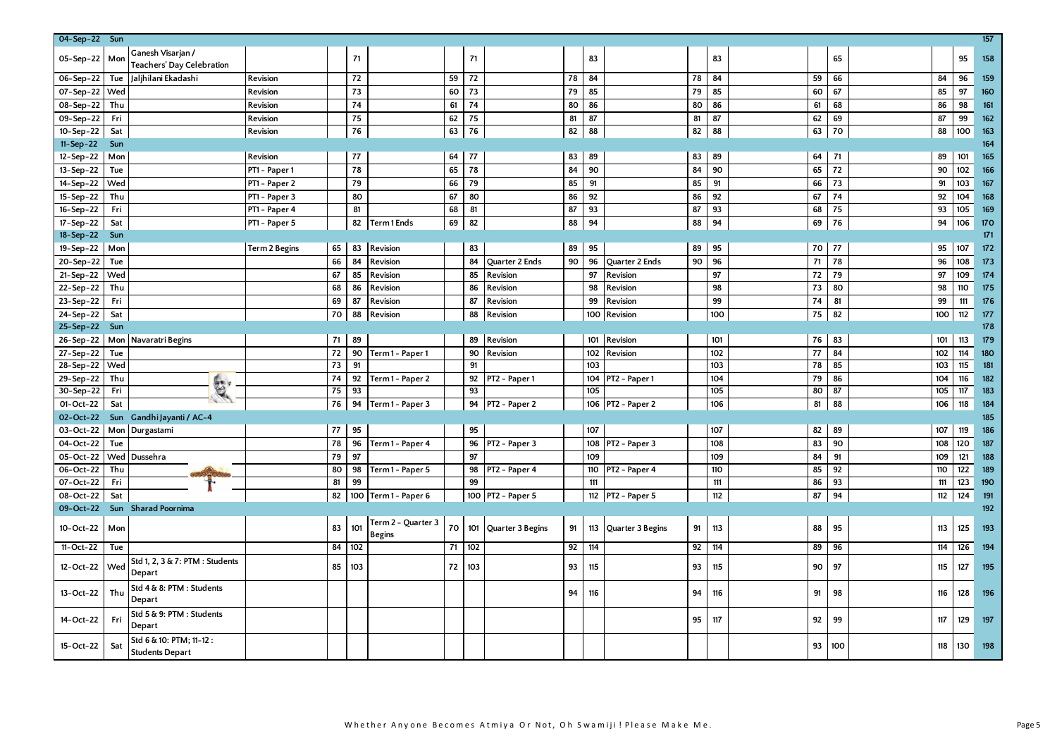| 04-Sep-22 Sun   |     |                                                   |               |    |            |                                     |    |     |                      |    |     |                       |    |     |            |     |     |     | $\frac{157}{157}$ |
|-----------------|-----|---------------------------------------------------|---------------|----|------------|-------------------------------------|----|-----|----------------------|----|-----|-----------------------|----|-----|------------|-----|-----|-----|-------------------|
| 05-Sep-22 Mon   |     | Ganesh Visarjan /<br>Teachers' Day Celebration    |               |    | 71         |                                     |    | 71  |                      |    | 83  |                       |    | 83  |            | 65  |     | 95  | 158               |
| 06-Sep-22       | Tue | Jaljhilani Ekadashi                               | Revision      |    | 72         |                                     | 59 | 72  |                      | 78 | 84  |                       | 78 | 84  | 59         | 66  | 84  | 96  | 159               |
| 07-Sep-22 Wed   |     |                                                   | Revision      |    | 73         |                                     | 60 | 73  |                      | 79 | 85  |                       | 79 | 85  | 60         | 67  | 85  | 97  | 160               |
| 08-Sep-22       | Thu |                                                   | Revision      |    | 74         |                                     | 61 | 74  |                      | 80 | 86  |                       | 80 | 86  | 61         | 68  | 86  | 98  | 161               |
| 09-Sep-22       | Fri |                                                   | Revision      |    | 75         |                                     | 62 | 75  |                      | 81 | 87  |                       | 81 | 87  | 62         | 69  | 87  | 99  | 162               |
| 10-Sep-22       | Sat |                                                   | Revision      |    | ${\bf 76}$ |                                     | 63 | 76  |                      | 82 | 88  |                       | 82 | 88  | 63         | 70  | 88  | 100 | 163               |
| $11 - Sep - 22$ | Sun |                                                   |               |    |            |                                     |    |     |                      |    |     |                       |    |     |            |     |     |     | 164               |
| 12-Sep-22       | Mon |                                                   | Revision      |    | 77         |                                     | 64 | 77  |                      | 83 | 89  |                       | 83 | 89  | 64         | 71  | 89  | 101 | 165               |
| 13-Sep-22       | Tue |                                                   | PT1 - Paper 1 |    | 78         |                                     | 65 | 78  |                      | 84 | 90  |                       | 84 | 90  | 65         | 72  | 90  | 102 | 166               |
| $14 - Sep - 22$ | Wed |                                                   | PT1 - Paper 2 |    | 79         |                                     | 66 | 79  |                      | 85 | 91  |                       | 85 | 91  | 66         | 73  | 91  | 103 | 167               |
| 15-Sep-22       | Thu |                                                   | PT1 - Paper 3 |    | 80         |                                     | 67 | 80  |                      | 86 | 92  |                       | 86 | 92  | 67         | 74  | 92  | 104 | 168               |
| 16-Sep-22       | Fri |                                                   | PT1 - Paper 4 |    | 81         |                                     | 68 | 81  |                      | 87 | 93  |                       | 87 | 93  | 68         | 75  | 93  | 105 | 169               |
| 17-Sep-22       | Sat |                                                   | PT1 - Paper 5 |    | 82         | <b>Term1Ends</b>                    | 69 | 82  |                      | 88 | 94  |                       | 88 | 94  | 69         | 76  | 94  | 106 | 170               |
| 18-Sep-22       | Sun |                                                   |               |    |            |                                     |    |     |                      |    |     |                       |    |     |            |     |     |     | 171               |
| 19-Sep-22       | Mon |                                                   | Term 2 Begins | 65 | 83         | Revision                            |    | 83  |                      | 89 | 95  |                       | 89 | 95  | 70         | 77  | 95  | 107 | 172               |
| 20-Sep-22       | Tue |                                                   |               | 66 | 84         | Revision                            |    | 84  | Quarter 2 Ends       | 90 | 96  | <b>Ouarter 2 Ends</b> | 90 | 96  | 71         | 78  | 96  | 108 | 173               |
| 21-Sep-22       | Wed |                                                   |               | 67 | 85         | Revision                            |    | 85  | Revision             |    | 97  | Revision              |    | 97  | 72         | 79  | 97  | 109 | 174               |
| 22-Sep-22       | Thu |                                                   |               | 68 | 86         | Revision                            |    | 86  | Revision             |    | 98  | Revision              |    | 98  | 73         | 80  | 98  | 110 | 175               |
| 23-Sep-22       | Fri |                                                   |               | 69 | 87         | Revision                            |    | 87  | Revision             |    | 99  | Revision              |    | 99  | 74         | 81  | 99  | 111 | 176               |
| 24-Sep-22       | Sat |                                                   |               | 70 | 88         | Revision                            |    | 88  | Revision             |    | 100 | Revision              |    | 100 | ${\bf 75}$ | 82  | 100 | 112 | 177               |
| 25-Sep-22 Sun   |     |                                                   |               |    |            |                                     |    |     |                      |    |     |                       |    |     |            |     |     |     | 178               |
|                 |     | 26-Sep-22   Mon   Navaratri Begins                |               | 71 | 89         |                                     |    | 89  | Revision             |    | 101 | Revision              |    | 101 | 76         | 83  | 101 | 113 | 179               |
| 27-Sep-22       | Tue |                                                   |               | 72 | 90         | Term 1 - Paper 1                    |    | 90  | Revision             |    | 102 | Revision              |    | 102 | 77         | 84  | 102 | 114 | 180               |
| 28-Sep-22       | Wed |                                                   |               | 73 | 91         |                                     |    | 91  |                      |    | 103 |                       |    | 103 | 78         | 85  | 103 | 115 | 181               |
| 29-Sep-22       | Thu |                                                   |               | 74 | 92         | Term 1 - Paper 2                    |    | 92  | PT2 - Paper 1        |    | 104 | PT2 - Paper 1         |    | 104 | 79         | 86  | 104 | 116 | 182               |
| 30-Sep-22       | Fri | E.                                                |               | 75 | 93         |                                     |    | 93  |                      |    | 105 |                       |    | 105 | 80         | 87  | 105 | 117 | 183               |
| 01-Oct-22       | Sat |                                                   |               | 76 | 94         | Term 1 - Paper 3                    |    |     | 94 PT2 - Paper 2     |    |     | 106 PT2 - Paper 2     |    | 106 | 81         | 88  | 106 | 118 | 184               |
| 02-Oct-22       |     | Sun Gandhi Jayanti / AC-4                         |               |    |            |                                     |    |     |                      |    |     |                       |    |     |            |     |     |     | 185               |
| 03-Oct-22       |     | Mon Durgastami                                    |               | 77 | 95         |                                     |    | 95  |                      |    | 107 |                       |    | 107 | 82         | 89  | 107 | 119 | 186               |
| 04-Oct-22       | Tue |                                                   |               | 78 | 96         | Term 1 - Paper 4                    |    | 96  | PT2 - Paper 3        |    | 108 | PT2 - Paper 3         |    | 108 | 83         | 90  | 108 | 120 | 187               |
| 05-Oct-22       |     | Wed Dussehra                                      |               | 79 | 97         |                                     |    | 97  |                      |    | 109 |                       |    | 109 | 84         | 91  | 109 | 121 | 188               |
| 06-Oct-22       | Thu |                                                   |               | 80 |            | 98 Term 1 - Paper 5                 |    | 98  | PT2 - Paper 4        |    | 110 | PT2 - Paper 4         |    | 110 | 85         | 92  | 110 | 122 | 189               |
| 07-Oct-22       | Fri |                                                   |               | 81 | 99         |                                     |    | 99  |                      |    | 111 |                       |    | 111 | 86         | 93  | 111 | 123 | 190               |
| 08-Oct-22       | Sat |                                                   |               | 82 |            | 100 Term 1 - Paper 6                |    |     | 100 PT2 - Paper 5    |    | 112 | PT2 - Paper 5         |    | 112 | 87         | 94  | 112 | 124 | 191               |
| 09-Oct-22       |     | Sun Sharad Poornima                               |               |    |            |                                     |    |     |                      |    |     |                       |    |     |            |     |     |     | 192               |
| 10-Oct-22       | Mon |                                                   |               | 83 | 101        | Term 2 - Quarter 3<br><b>Begins</b> | 70 |     | 101 Quarter 3 Begins | 91 | 113 | Quarter 3 Begins      | 91 | 113 | 88         | 95  | 113 | 125 | 193               |
| 11-Oct-22       | Tue |                                                   |               | 84 | 102        |                                     | 71 | 102 |                      | 92 | 114 |                       | 92 | 114 | 89         | 96  | 114 | 126 | 194               |
| 12-Oct-22       | Wed | Std 1, 2, 3 & 7: PTM : Students<br>Depart         |               | 85 | 103        |                                     | 72 | 103 |                      | 93 | 115 |                       | 93 | 115 | 90         | 97  | 115 | 127 | 195               |
| 13-Oct-22       | Thu | Std 4 & 8: PTM : Students<br>Depart               |               |    |            |                                     |    |     |                      | 94 | 116 |                       | 94 | 116 | 91         | 98  | 116 | 128 | 196               |
| 14-Oct-22       | Fri | Std 5 & 9: PTM : Students<br>Depart               |               |    |            |                                     |    |     |                      |    |     |                       | 95 | 117 | 92         | 99  | 117 | 129 | 197               |
| 15-Oct-22       | Sat | Std 6 & 10: PTM; 11-12:<br><b>Students Depart</b> |               |    |            |                                     |    |     |                      |    |     |                       |    |     | 93         | 100 | 118 | 130 | 198               |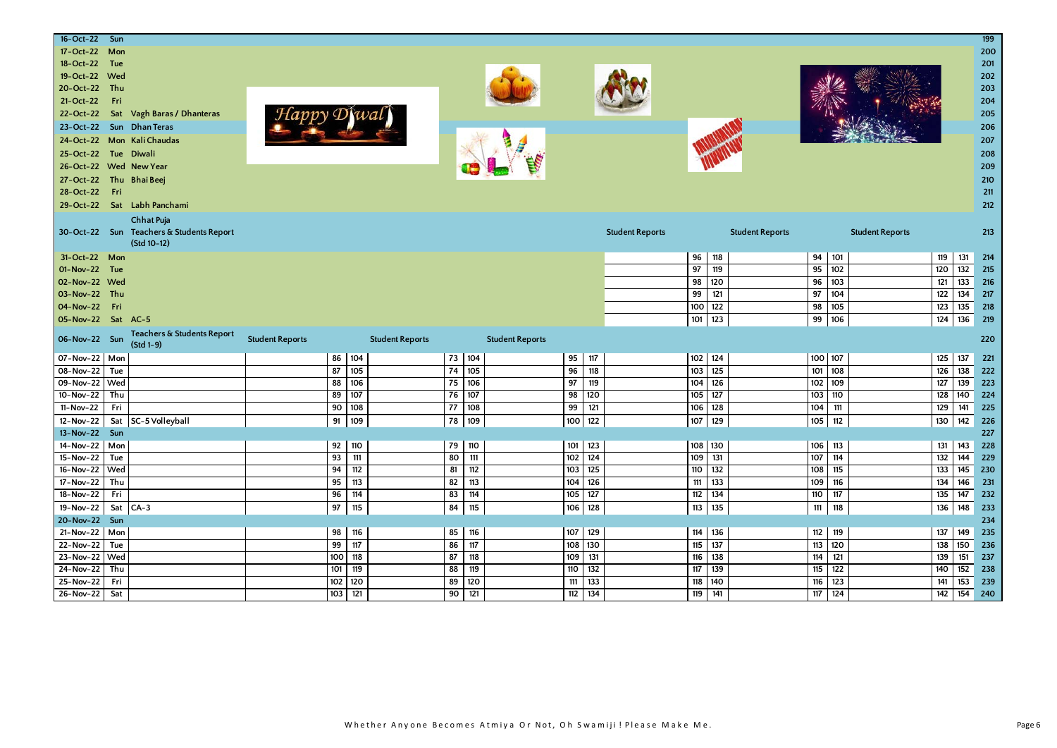| 16-Oct-22 Sun            |       |                                          |                        |                  |                        |        |     |                        |         |         |                        |     |           |                        |     |         |                        |     |               | 199   |
|--------------------------|-------|------------------------------------------|------------------------|------------------|------------------------|--------|-----|------------------------|---------|---------|------------------------|-----|-----------|------------------------|-----|---------|------------------------|-----|---------------|-------|
| 17-Oct-22                | Mon   |                                          |                        |                  |                        |        |     |                        |         |         |                        |     |           |                        |     |         |                        |     |               | 200   |
| 18-Oct-22                | Tue   |                                          |                        |                  |                        |        |     |                        |         |         |                        |     |           |                        |     |         |                        |     |               | 201   |
| 19-Oct-22 Wed            |       |                                          |                        |                  |                        |        |     |                        |         |         |                        |     |           |                        |     |         |                        |     |               | 202   |
| 20-Oct-22 Thu            |       |                                          |                        |                  |                        |        |     |                        |         |         |                        |     |           |                        |     |         |                        |     |               | 203   |
| 21-Oct-22                | Fri   |                                          |                        |                  |                        |        |     |                        |         |         |                        |     |           |                        |     |         |                        |     |               | 204   |
| 22-Oct-22                |       | Sat Vagh Baras / Dhanteras               |                        |                  |                        |        |     |                        |         |         |                        |     |           |                        |     |         |                        |     |               | 205   |
| 23-Oct-22 Sun Dhan Teras |       |                                          |                        |                  |                        |        |     |                        |         |         |                        |     |           |                        |     |         |                        |     |               | 206   |
|                          |       | 24-Oct-22 Mon Kali Chaudas               |                        |                  |                        |        |     |                        |         |         |                        |     |           |                        |     |         |                        |     |               | 207   |
| 25-Oct-22                |       | Tue Diwali                               |                        |                  |                        |        |     |                        |         |         |                        |     |           |                        |     |         |                        |     |               | 208   |
| 26-Oct-22 Wed New Year   |       |                                          |                        |                  |                        |        |     |                        |         |         |                        |     |           |                        |     |         |                        |     |               | 209   |
| 27-Oct-22                |       | Thu Bhai Beej                            |                        |                  |                        |        |     |                        |         |         |                        |     |           |                        |     |         |                        |     |               | 210   |
| 28-Oct-22                | - Fri |                                          |                        |                  |                        |        |     |                        |         |         |                        |     |           |                        |     |         |                        |     |               | $211$ |
|                          |       | 29-Oct-22 Sat Labh Panchami              |                        |                  |                        |        |     |                        |         |         |                        |     |           |                        |     |         |                        |     |               | 212   |
|                          |       | Chhat Puja                               |                        |                  |                        |        |     |                        |         |         |                        |     |           |                        |     |         |                        |     |               |       |
|                          |       | 30-Oct-22 Sun Teachers & Students Report |                        |                  |                        |        |     |                        |         |         | <b>Student Reports</b> |     |           | <b>Student Reports</b> |     |         | <b>Student Reports</b> |     |               | 213   |
|                          |       | (Std 10-12)                              |                        |                  |                        |        |     |                        |         |         |                        |     |           |                        |     |         |                        |     |               |       |
| 31-Oct-22 Mon            |       |                                          |                        |                  |                        |        |     |                        |         |         |                        | 96  | 118       |                        |     | 94 101  |                        | 119 | 131           | 214   |
| 01-Nov-22 Tue            |       |                                          |                        |                  |                        |        |     |                        |         |         |                        | 97  | 119       |                        | 95  | 102     |                        | 120 | $\frac{1}{2}$ | 215   |
| 02-Nov-22 Wed            |       |                                          |                        |                  |                        |        |     |                        |         |         |                        | 98  | 120       |                        | 96  | 103     |                        | 121 | 133           | 216   |
| 03-Nov-22 Thu            |       |                                          |                        |                  |                        |        |     |                        |         |         |                        | 99  | 121       |                        | 97  | 104     |                        | 122 | 134           | 217   |
| 04-Nov-22 Fri            |       |                                          |                        |                  |                        |        |     |                        |         |         |                        | 100 | 122       |                        | 98  | 105     |                        | 123 | 135           | 218   |
| 05-Nov-22 Sat AC-5       |       |                                          |                        |                  |                        |        |     |                        |         |         |                        | 101 | 123       |                        | 99  | 106     |                        | 124 | 136           | 219   |
|                          |       | Teachers & Students Report               |                        |                  |                        |        |     |                        |         |         |                        |     |           |                        |     |         |                        |     |               |       |
| 06-Nov-22 Sun            |       | $(5td1-9)$                               | <b>Student Reports</b> |                  | <b>Student Reports</b> |        |     | <b>Student Reports</b> |         |         |                        |     |           |                        |     |         |                        |     |               | 220   |
| 07-Nov-22 Mon            |       |                                          |                        |                  | 86 104                 | 73 104 |     |                        | 95      | 117     |                        |     | $102$ 124 |                        |     | 100 107 |                        | 125 | 137           | 221   |
| 08-Nov-22                | Tue   |                                          |                        | 87               | 105                    | 74     | 105 |                        | 96      | 118     |                        | 103 | 125       |                        | 101 | 108     |                        | 126 | 138           | 222   |
| 09-Nov-22 Wed            |       |                                          |                        | 88               | 106                    | 75     | 106 |                        | 97      | 119     |                        | 104 | 126       |                        | 102 | 109     |                        | 127 | 139           | 223   |
| 10-Nov-22                | Thu   |                                          |                        | 89               | 107                    | 76     | 107 |                        | 98      | 120     |                        | 105 | 127       |                        | 103 | 110     |                        | 128 | 140           | 224   |
| 11-Nov-22                | Fri   |                                          |                        | 90               | 108                    | 77     | 108 |                        | 99      | 121     |                        | 106 | 128       |                        | 104 | 111     |                        | 129 | 141           | 225   |
| $12-Nov-22$              |       | Sat SC-5 Volleyball                      |                        | 91               | 109                    | 78     | 109 |                        | 100     | 122     |                        | 107 | 129       |                        | 105 | 112     |                        | 130 | 142           | 226   |
| 13-Nov-22 Sun            |       |                                          |                        |                  |                        |        |     |                        |         |         |                        |     |           |                        |     |         |                        |     |               | 227   |
| 14-Nov-22 Mon            |       |                                          |                        | 92               | 110                    | 79     | 110 |                        | 101 123 |         |                        | 108 | 130       |                        | 106 | 113     |                        | 131 | 143           | 228   |
| 15-Nov-22                | Tue   |                                          |                        | 93               | 111                    | 80     | 111 |                        | 102     | 124     |                        | 109 | 131       |                        | 107 | 114     |                        | 132 | 144           | 229   |
| 16-Nov-22 Wed            |       |                                          |                        | 94               | 112                    | 81     | 112 |                        | 103     | 125     |                        | 110 | 132       |                        | 108 | 115     |                        | 133 | 145           | 230   |
| 17-Nov-22                | Thu   |                                          |                        | 95               | 113                    | 82     | 113 |                        | 104     | 126     |                        | 111 | 133       |                        | 109 | 116     |                        | 134 | 146           | 231   |
| 18-Nov-22                | Fri   |                                          |                        | 96               | 114                    | 83     | 114 |                        | 105     | 127     |                        | 112 | 134       |                        | 110 | 117     |                        | 135 | 147           | 232   |
| 19-Nov-22                |       | Sat CA-3                                 |                        | 97               | 115                    | 84     | 115 |                        | 106     | 128     |                        | 113 | 135       |                        | 111 | 118     |                        | 136 | 148           | 233   |
| 20-Nov-22 Sun            |       |                                          |                        |                  |                        |        |     |                        |         |         |                        |     |           |                        |     |         |                        |     |               | 234   |
| $21-Nov-22$ Mon          |       |                                          |                        | 98               | 116                    | 85     | 116 |                        | 107 129 |         |                        | 114 | 136       |                        | 112 | 119     |                        | 137 | 149           | 235   |
| 22-Nov-22                | Tue   |                                          |                        | 99               | 117                    | 86     | 117 |                        | 108     | 130     |                        | 115 | 137       |                        | 113 | 120     |                        | 138 | 150           | 236   |
| 23-Nov-22 Wed            |       |                                          |                        | 100 <sub>1</sub> | 118                    | 87     | 118 |                        |         | 109 131 |                        | 116 | 138       |                        | 114 | 121     |                        | 139 | 151           | 237   |
| 24-Nov-22                | Thu   |                                          |                        | 101              | 119                    | 88     | 119 |                        | 110     | 132     |                        | 117 | 139       |                        | 115 | 122     |                        | 140 | 152           | 238   |
| 25-Nov-22                | Fri   |                                          |                        | 102              | 120                    | 89     | 120 |                        | 111     | 133     |                        | 118 | 140       |                        | 116 | 123     |                        | 141 | 153           | 239   |
| 26-Nov-22                | Sat   |                                          |                        | 103              | 121                    | 90     | 121 |                        | 112     | 134     |                        | 119 | 141       |                        | 117 | 124     |                        | 142 | 154           | 240   |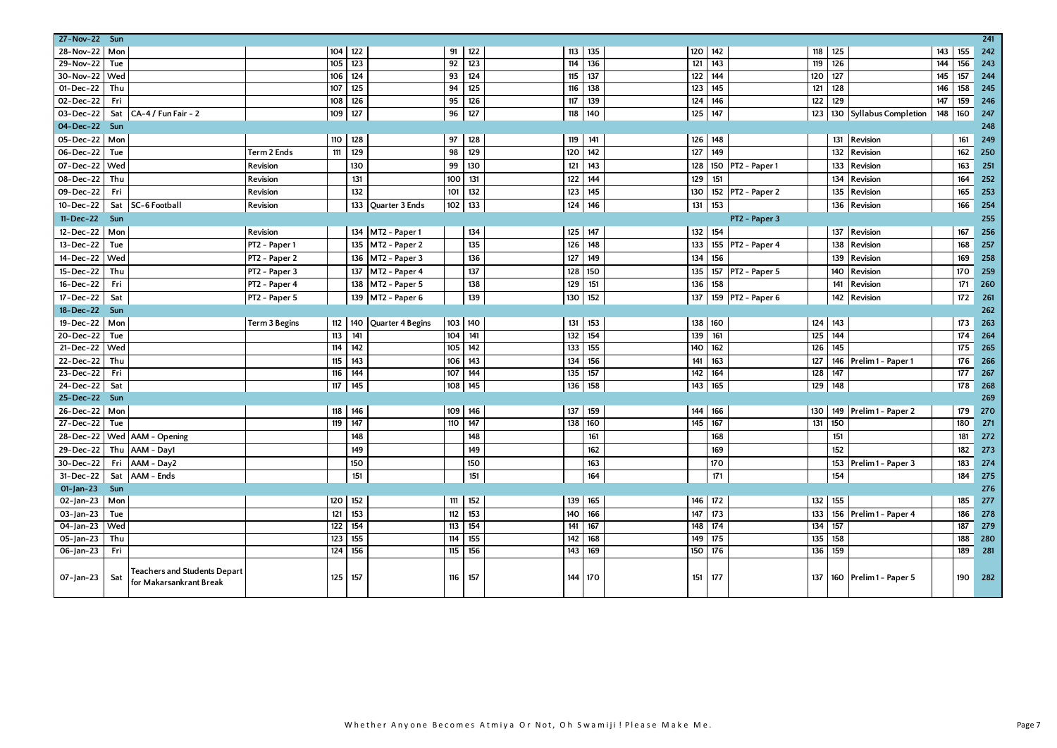| 27-Nov-22 Sun   |            |                                                         |               |     |                         |     |     |         |         |     |         |                   |     |                  |                         |     |     | 241 |
|-----------------|------------|---------------------------------------------------------|---------------|-----|-------------------------|-----|-----|---------|---------|-----|---------|-------------------|-----|------------------|-------------------------|-----|-----|-----|
| 28-Nov-22 Mon   |            |                                                         |               | 104 | 122                     | 91  | 122 | 113     | 135     | 120 | 142     |                   | 118 | 125              |                         | 143 | 155 | 242 |
| 29-Nov-22       | Tue        |                                                         |               | 105 | 123                     | 92  | 123 | 114     | 136     | 121 | 143     |                   | 119 | $\overline{126}$ |                         | 144 | 156 | 243 |
| 30-Nov-22       | Wed        |                                                         |               | 106 | 124                     | 93  | 124 | 115     | 137     | 122 | 144     |                   | 120 | 127              |                         | 145 | 157 | 244 |
| 01-Dec-22       | Thu        |                                                         |               | 107 | 125                     | 94  | 125 | 116     | 138     | 123 | 145     |                   | 121 | 128              |                         | 146 | 158 | 245 |
| 02-Dec-22       | Fri        |                                                         |               | 108 | 126                     | 95  | 126 | 117     | 139     | 124 | 146     |                   | 122 | 129              |                         | 147 | 159 | 246 |
| 03-Dec-22       | Sat        | CA-4 / Fun Fair - 2                                     |               | 109 | 127                     | 96  | 127 | 118     | 140     | 125 | 147     |                   | 123 |                  | 130 Syllabus Completion | 148 | 160 | 247 |
| 04-Dec-22 Sun   |            |                                                         |               |     |                         |     |     |         |         |     |         |                   |     |                  |                         |     |     | 248 |
| 05-Dec-22   Mon |            |                                                         |               | 110 | 128                     | 97  | 128 | 119     | 141     | 126 | 148     |                   |     |                  | 131 Revision            |     | 161 | 249 |
| 06-Dec-22       | Tue        |                                                         | Term 2 Ends   | 111 | 129                     | 98  | 129 | 120     | 142     | 127 | 149     |                   |     | 132              | Revision                |     | 162 | 250 |
| 07-Dec-22 Wed   |            |                                                         | Revision      |     | 130                     | 99  | 130 | 121     | 143     | 128 | 150     | PT2 - Paper 1     |     | 133              | Revision                |     | 163 | 251 |
| 08-Dec-22       | Thu        |                                                         | Revision      |     | 131                     | 100 | 131 | 122     | 144     | 129 | 151     |                   |     | 134              | Revision                |     | 164 | 252 |
| 09-Dec-22       | Fri        |                                                         | Revision      |     | 132                     | 101 | 132 | 123     | 145     | 130 |         | 152 PT2 - Paper 2 |     | 135              | Revision                |     | 165 | 253 |
| 10-Dec-22       | Sat        | SC-6 Football                                           | Revision      |     | 133 Quarter 3 Ends      | 102 | 133 | 124     | 146     | 131 | 153     |                   |     | 136              | Revision                |     | 166 | 254 |
| 11-Dec-22       | <b>Sun</b> |                                                         |               |     |                         |     |     |         |         |     |         | PT2 - Paper 3     |     |                  |                         |     |     | 255 |
| 12-Dec-22       | Mon        |                                                         | Revision      |     | 134 MT2 - Paper 1       |     | 134 | 125     | 147     |     | 132 154 |                   |     | 137              | Revision                |     | 167 | 256 |
| 13-Dec-22       | Tue        |                                                         | PT2 - Paper 1 |     | 135<br>MT2 - Paper 2    |     | 135 | 126     | 148     | 133 | 155     | PT2 - Paper 4     |     | 138              | Revision                |     | 168 | 257 |
| 14-Dec-22       | Wed        |                                                         | PT2 - Paper 2 |     | 136 MT2 - Paper 3       |     | 136 | 127     | 149     | 134 | 156     |                   |     | 139              | Revision                |     | 169 | 258 |
| 15-Dec-22       | Thu        |                                                         | PT2 - Paper 3 |     | MT2 - Paper 4<br>137    |     | 137 | 128     | 150     | 135 | 157     | PT2 - Paper 5     |     | 140              | Revision                |     | 170 | 259 |
| 16-Dec-22       | Fri        |                                                         | PT2 - Paper 4 |     | 138 MT2 - Paper 5       |     | 138 | 129     | 151     | 136 | 158     |                   |     | 141              | Revision                |     | 171 | 260 |
| 17-Dec-22       | Sat        |                                                         | PT2 - Paper 5 |     | 139 MT2 - Paper 6       |     | 139 | 130     | 152     | 137 |         | 159 PT2 - Paper 6 |     | 142              | Revision                |     | 172 | 261 |
| 18-Dec-22 Sun   |            |                                                         |               |     |                         |     |     |         |         |     |         |                   |     |                  |                         |     |     | 262 |
| 19-Dec-22       | Mor        |                                                         | Term 3 Begins | 112 | 140<br>Quarter 4 Begins | 103 | 140 | 131     | 153     | 138 | 160     |                   | 124 | 143              |                         |     | 173 | 263 |
| 20-Dec-22       | Tue        |                                                         |               | 113 | 141                     | 104 | 141 | 132     | 154     | 139 | 161     |                   | 125 | 144              |                         |     | 174 | 264 |
| 21-Dec-22 Wed   |            |                                                         |               | 114 | 142                     | 105 | 142 | 133     | 155     | 140 | 162     |                   | 126 | 145              |                         |     | 175 | 265 |
| 22-Dec-22       | Thu        |                                                         |               | 115 | 143                     | 106 | 143 | 134     | 156     | 141 | 163     |                   | 127 |                  | 146 Prelim 1 - Paper 1  |     | 176 | 266 |
| 23-Dec-22       | Fri        |                                                         |               | 116 | 144                     | 107 | 144 | 135     | 157     | 142 | 164     |                   | 128 | 147              |                         |     | 177 | 267 |
| 24-Dec-22       | Sat        |                                                         |               | 117 | 145                     | 108 | 145 | 136     | 158     | 143 | 165     |                   | 129 | 148              |                         |     | 178 | 268 |
| 25-Dec-22 Sun   |            |                                                         |               |     |                         |     |     |         |         |     |         |                   |     |                  |                         |     |     | 269 |
| 26-Dec-22       | Mon        |                                                         |               | 118 | 146                     | 109 | 146 | 137     | 159     | 144 | 166     |                   | 130 | 149              | Prelim 1 - Paper 2      |     | 179 | 270 |
| 27-Dec-22       | Tue        |                                                         |               | 119 | $\overline{147}$        | 110 | 147 | 138 160 |         | 145 | 167     |                   | 131 | 150              |                         |     | 180 | 271 |
| 28-Dec-22       |            | Wed AAM - Opening                                       |               |     | 148                     |     | 148 |         | 161     |     | 168     |                   |     | 151              |                         |     | 181 | 272 |
| 29-Dec-22       | Thu        | AAM - Day1                                              |               |     | 149                     |     | 149 |         | 162     |     | 169     |                   |     | 152              |                         |     | 182 | 273 |
| 30-Dec-22       | Fri        | AAM - Day2                                              |               |     | 150                     |     | 150 |         | 163     |     | 170     |                   |     | 153              | Prelim 1 - Paper 3      |     | 183 | 274 |
| 31-Dec-22       | Sat        | AAM - Ends                                              |               |     | 151                     |     | 151 |         | 164     |     | 171     |                   |     | 154              |                         |     | 184 | 275 |
| $01$ -Jan-23    | Sun        |                                                         |               |     |                         |     |     |         |         |     |         |                   |     |                  |                         |     |     | 276 |
| $O2$ -Jan-23    | Mon        |                                                         |               | 120 | 152                     | 111 | 152 | 139     | 165     | 146 | 172     |                   | 132 | 155              |                         |     | 185 | 277 |
| $03$ -Jan-23    | Tue        |                                                         |               | 121 | 153                     | 112 | 153 | 140 l   | 166     | 147 | 173     |                   | 133 | 156              | Prelim 1 - Paper 4      |     | 186 | 278 |
| 04-Jan-23       | Wed        |                                                         |               | 122 | 154                     | 113 | 154 | 141     | 167     | 148 | 174     |                   | 134 | 157              |                         |     | 187 | 279 |
| 05-Jan-23       | Thu        |                                                         |               | 123 | 155                     | 114 | 155 | 142     | 168     | 149 | 175     |                   | 135 | 158              |                         |     | 188 | 280 |
| 06-Jan-23       | Fri        |                                                         |               | 124 | 156                     | 115 | 156 |         | 143 169 | 150 | 176     |                   | 136 | 159              |                         |     | 189 | 281 |
| 07-Jan-23       | Sat        | Teachers and Students Depart<br>for Makarsankrant Break |               | 125 | 157                     | 116 | 157 | 144     | 170     | 151 | 177     |                   | 137 |                  | 160 Prelim 1 - Paper 5  |     | 190 | 282 |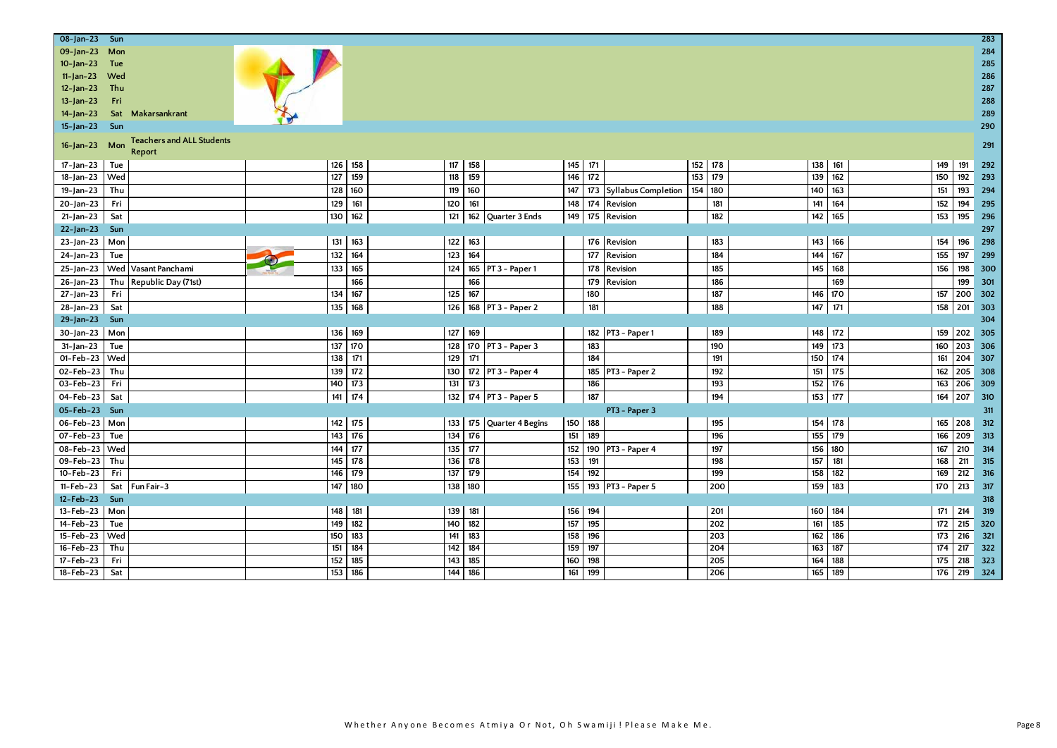| 08-Jan-23 Sun   |                                                   |     |                        |         |                      |         |         |                             |         |     |     |         |           |             | 283 |
|-----------------|---------------------------------------------------|-----|------------------------|---------|----------------------|---------|---------|-----------------------------|---------|-----|-----|---------|-----------|-------------|-----|
| 09-Jan-23       | Mon                                               |     |                        |         |                      |         |         |                             |         |     |     |         |           |             | 284 |
| $10 - Jan - 23$ | Tue                                               |     |                        |         |                      |         |         |                             |         |     |     |         |           |             | 285 |
| $11$ -Jan-23    | Wed                                               |     |                        |         |                      |         |         |                             |         |     |     |         |           |             | 286 |
| $12 - Jan - 23$ | Thu                                               |     |                        |         |                      |         |         |                             |         |     |     |         |           |             | 287 |
| $13$ -Jan-23    | Fri                                               |     |                        |         |                      |         |         |                             |         |     |     |         |           |             | 288 |
| $14$ -Jan-23    | Sat Makarsankrant                                 |     |                        |         |                      |         |         |                             |         |     |     |         |           |             | 289 |
| $15$ -Jan-23    | Sun                                               |     |                        |         |                      |         |         |                             |         |     |     |         |           |             | 290 |
| $16$ -Jan-23    | <b>Teachers and ALL Students</b><br>Mon<br>Report |     |                        |         |                      |         |         |                             |         |     |     |         |           |             | 291 |
| 17-Jan-23       | Tue                                               |     | 126 158                | 117 158 |                      |         | 145 171 |                             | 152 178 |     |     | 138 161 | 149       | 191         | 292 |
| 18-Jan-23       | Wed                                               | 127 | 159<br>118             | 159     |                      |         | 146 172 |                             | 153     | 179 | 139 | 162     | 150       | 192         | 293 |
| $19$ -Jan-23    | Thu                                               | 128 | 119<br>160             | 160     |                      |         |         | 147 173 Syllabus Completion | 154 180 |     | 140 | 163     | 151       | 193 294     |     |
| 20-Jan-23       | Fri                                               | 129 | 120<br>161             | 161     |                      |         |         | 148 174 Revision            |         | 181 | 141 | 164     | 152       | 194         | 295 |
| $21$ -Jan-23    | Sat                                               | 130 | 162<br>121             | 162     | Quarter 3 Ends       |         |         | 149 175 Revision            |         | 182 | 142 | 165     | 153       | 195         | 296 |
| $22$ -Jan-23    | Sun                                               |     |                        |         |                      |         |         |                             |         |     |     |         |           |             | 297 |
| 23-Jan-23       | Mon                                               |     | 131 163<br>122         | 163     |                      |         |         | 176 Revision                |         | 183 | 143 | 166     | 154       | 196         | 298 |
| $24$ -Jan-23    | Tue                                               | 132 | 164<br>123             | 164     |                      |         | 177     | Revision                    |         | 184 | 144 | 167     | 155       | 197         | 299 |
| $25$ -Jan-23    | Vasant Panchami<br>Wed                            | 133 | 165<br>124             |         | 165 PT 3 - Paper 1   |         | 178     | Revision                    |         | 185 | 145 | 168     | 156       | 198         | 300 |
| $26$ -Jan-23    | Thu Republic Day (71st)                           |     | 166                    | 166     |                      |         | 179     | Revision                    |         | 186 |     | 169     |           | 199         | 301 |
| $27$ -Jan-23    | Fri                                               |     | $134$ 167<br>125       | 167     |                      |         | 180     |                             |         | 187 |     | 146 170 | 157       | 200 302     |     |
| $28 - Jan - 23$ | Sat                                               | 135 | 168<br>126             |         | 168 PT 3 - Paper 2   |         | 181     |                             |         | 188 | 147 | 171     | 158       | 201 303     |     |
| 29-Jan-23       | Sun                                               |     |                        |         |                      |         |         |                             |         |     |     |         |           |             | 304 |
| 30-Jan-23 Mon   |                                                   |     | 136 169<br>127         | 169     |                      |         |         | 182 PT3 - Paper 1           |         | 189 |     | 148 172 |           | 159 202 305 |     |
| $31$ -Jan-23    | Tue                                               | 137 | 170<br>128             |         | 170 PT 3 - Paper 3   |         | 183     |                             |         | 190 | 149 | 173     | 160       | 203         | 306 |
| $01 - Feb - 23$ | Wed                                               | 138 | 171<br>129             | 171     |                      |         | 184     |                             |         | 191 | 150 | 174     | 161       | 204 307     |     |
| 02-Feb-23       | Thu                                               | 139 | 172<br>130             |         | 172 PT 3 - Paper 4   |         |         | 185 PT3 - Paper 2           |         | 192 | 151 | 175     | 162       | 205         | 308 |
| 03-Feb-23       | Fri                                               |     | 140 173<br>131         | 173     |                      |         | 186     |                             |         | 193 | 152 | 176     |           | 163 206 309 |     |
| 04-Feb-23       | Sat                                               | 141 | 174<br>$132$           |         | 174 PT 3 - Paper 5   |         | 187     |                             |         | 194 | 153 | 177     | 164       | 207 310     |     |
| 05-Feb-23 Sun   |                                                   |     |                        |         |                      |         |         | PT3 - Paper 3               |         |     |     |         |           |             | 311 |
| 06-Feb-23 Mon   |                                                   |     | 142 175<br>133         |         | 175 Quarter 4 Begins | 150 188 |         |                             |         | 195 | 154 | 178     | 165 208   |             | 312 |
| 07-Feb-23       | Tue                                               |     | 143 176<br>134         | 176     |                      |         | 151 189 |                             |         | 196 |     | 155 179 |           | 166 209 313 |     |
| 08-Feb-23       | Wed                                               | 144 | 177<br>$\frac{1}{135}$ | 177     |                      |         |         | 152 190 PT3 - Paper 4       |         | 197 | 156 | 180     | 167       | 210         | 314 |
| 09-Feb-23       | Thu                                               | 145 | 178<br>136             | 178     |                      | 153     | 191     |                             |         | 198 | 157 | 181     | 168       | 211         | 315 |
| $10 - Feb - 23$ | Fri                                               | 146 | 179<br>137             | 179     |                      |         | 154 192 |                             |         | 199 | 158 | 182     | 169       | 212         | 316 |
| 11-Feb-23       | Sat<br>Fun Fair-3                                 | 147 | 180<br>138             | 180     |                      |         |         | 155 193 PT3 - Paper 5       |         | 200 | 159 | 183     | 170       | 213         | 317 |
| 12-Feb-23       | Sun                                               |     |                        |         |                      |         |         |                             |         |     |     |         |           |             | 318 |
| 13-Feb-23   Mon |                                                   |     | 148 181<br>139         | 181     |                      |         | 156 194 |                             |         | 201 | 160 | 184     | $171$ 214 |             | 319 |
| 14-Feb-23       | Tue                                               |     | 149 182<br>140         | 182     |                      |         | 157 195 |                             |         | 202 | 161 | 185     | $172$ 215 |             | 320 |
| $15 - Feb - 23$ | Wed                                               | 150 | 183<br>141             | 183     |                      |         | 158 196 |                             |         | 203 | 162 | 186     | 173       | 216         | 321 |
| 16-Feb-23       | Thu                                               | 151 | 142<br>184             | 184     |                      |         | 159 197 |                             |         | 204 | 163 | 187     | 174       | 217         | 322 |
| 17-Feb-23       | Fri                                               | 152 | 143<br>185             | 185     |                      |         | 160 198 |                             |         | 205 | 164 | 188     | 175       | 218         | 323 |
| $18 - Feb - 23$ | Sat                                               | 153 | 186<br>144             | 186     |                      |         | 161 199 |                             |         | 206 | 165 | 189     | 176       | 219 324     |     |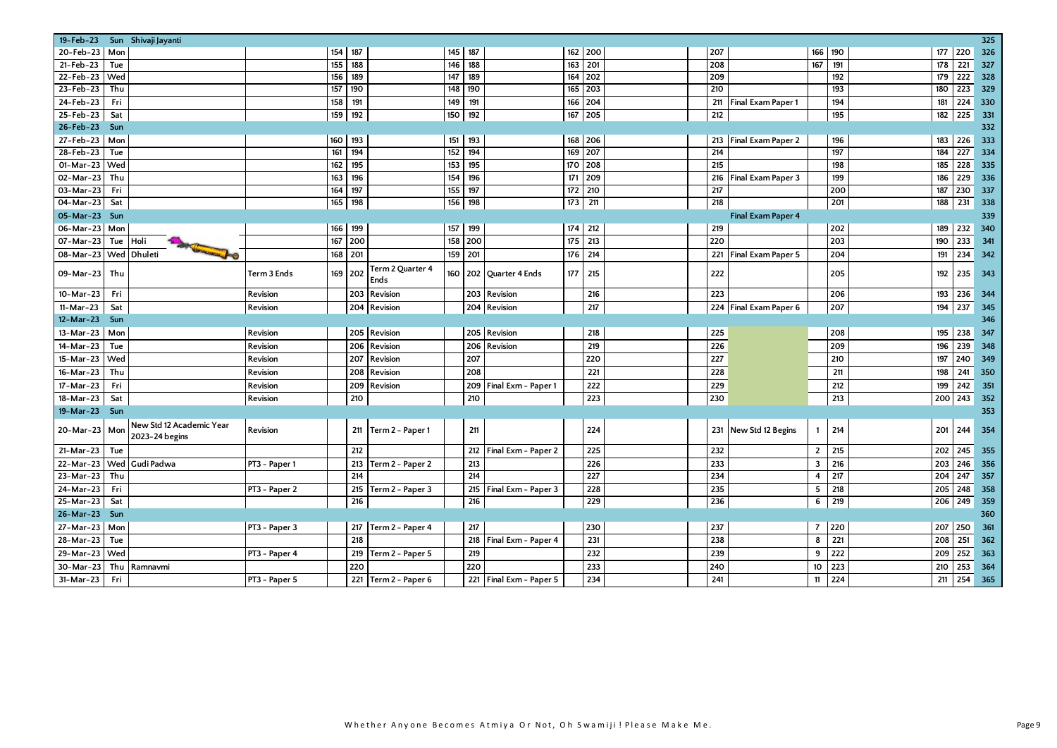| 19-Feb-23        | Sun Shivaji Jayanti                    |               |     |     |                          |     |     |                       |                  |           |                  |                           |                |                  |     |     | 325 |
|------------------|----------------------------------------|---------------|-----|-----|--------------------------|-----|-----|-----------------------|------------------|-----------|------------------|---------------------------|----------------|------------------|-----|-----|-----|
| 20-Feb-23<br>Mon |                                        |               | 154 | 187 |                          | 145 | 187 |                       |                  | 162 200   | 207              |                           | 166            | 190              | 177 | 220 | 326 |
| 21-Feb-23<br>Tue |                                        |               | 155 | 188 |                          | 146 | 188 |                       | 163              | 201       | 208              |                           | 167            | 191              | 178 | 221 | 327 |
| Wed<br>22-Feb-23 |                                        |               | 156 | 189 |                          | 147 | 189 |                       |                  | 164 202   | 209              |                           |                | 192              | 179 | 222 | 328 |
| 23-Feb-23<br>Thu |                                        |               | 157 | 190 |                          | 148 | 190 |                       | 165              | 203       | 210              |                           |                | 193              | 180 | 223 | 329 |
| 24-Feb-23<br>Fri |                                        |               | 158 | 191 |                          | 149 | 191 |                       | 166              | 204       | 211              | Final Exam Paper 1        |                | 194              | 181 | 224 | 330 |
| 25-Feb-23<br>Sat |                                        |               | 159 | 192 |                          | 150 | 192 |                       | 167              | 205       | $\overline{212}$ |                           |                | 195              | 182 | 225 | 331 |
| 26-Feb-23<br>Sun |                                        |               |     |     |                          |     |     |                       |                  |           |                  |                           |                |                  |     |     | 332 |
| 27-Feb-23<br>Mon |                                        |               | 160 | 193 |                          | 151 | 193 |                       |                  | 168 206   | 213              | Final Exam Paper 2        |                | 196              | 183 | 226 | 333 |
| 28-Feb-23<br>Tue |                                        |               | 161 | 194 |                          | 152 | 194 |                       |                  | 169 207   | 214              |                           |                | 197              | 184 | 227 | 334 |
| 01-Mar-23<br>Wed |                                        |               | 162 | 195 |                          | 153 | 195 |                       |                  | 170 208   | $\overline{215}$ |                           |                | 198              | 185 | 228 | 335 |
| Thu<br>02-Mar-23 |                                        |               | 163 | 196 |                          | 154 | 196 |                       | 171              | 209       | 216              | Final Exam Paper 3        |                | 199              | 186 | 229 | 336 |
| 03-Mar-23<br>Fri |                                        |               | 164 | 197 |                          | 155 | 197 |                       | 172              | 210       | 217              |                           |                | 200              | 187 | 230 | 337 |
| 04-Mar-23<br>Sat |                                        |               | 165 | 198 |                          | 156 | 198 |                       | $\overline{173}$ | 211       | $\overline{218}$ |                           |                | $\overline{201}$ | 188 | 231 | 338 |
| 05-Mar-23 Sun    |                                        |               |     |     |                          |     |     |                       |                  |           |                  | <b>Final Exam Paper 4</b> |                |                  |     |     | 339 |
| 06-Mar-23<br>Mon |                                        |               | 166 | 199 |                          | 157 | 199 |                       |                  | $174$ 212 | 219              |                           |                | 202              | 189 | 232 | 340 |
| 07-Mar-23<br>Tue | Holi                                   |               | 167 | 200 |                          | 158 | 200 |                       | 175              | 213       | 220              |                           |                | 203              | 190 | 233 | 341 |
| 08-Mar-23<br>Wed | <b>Dhuleti</b><br><b>STANDARD POOL</b> |               | 168 | 201 |                          | 159 | 201 |                       | 176              | 214       | 221              | Final Exam Paper 5        |                | 204              | 191 | 234 | 342 |
| 09-Mar-23<br>Thu |                                        | Term 3 Ends   | 169 | 202 | Term 2 Quarter 4<br>Ends | 160 | 202 | <b>Ouarter 4 Ends</b> | 177              | 215       | 222              |                           |                | 205              | 192 | 235 | 343 |
| 10-Mar-23<br>Fri |                                        | Revision      |     | 203 | Revision                 |     | 203 | Revision              |                  | 216       | $\overline{223}$ |                           |                | 206              | 193 | 236 | 344 |
| 11-Mar-23<br>Sat |                                        | Revision      |     | 204 | Revision                 |     | 204 | Revision              |                  | 217       | 224              | Final Exam Paper 6        |                | 207              | 194 | 237 | 345 |
| 12-Mar-23<br>Sun |                                        |               |     |     |                          |     |     |                       |                  |           |                  |                           |                |                  |     |     | 346 |
| 13-Mar-23<br>Mon |                                        | Revision      |     | 205 | Revision                 |     | 205 | Revision              |                  | 218       | 225              |                           |                | 208              | 195 | 238 | 347 |
| 14-Mar-23<br>Tue |                                        | Revision      |     | 206 | Revision                 |     | 206 | <b>Revision</b>       |                  | 219       | 226              |                           |                | 209              | 196 | 239 | 348 |
| 15-Mar-23<br>Wed |                                        | Revision      |     | 207 | Revision                 |     | 207 |                       |                  | 220       | $\overline{227}$ |                           |                | 210              | 197 | 240 | 349 |
| Thu<br>16-Mar-23 |                                        | Revision      |     | 208 | Revision                 |     | 208 |                       |                  | 221       | 228              |                           |                | 211              | 198 | 241 | 350 |
| 17-Mar-23<br>Fri |                                        | Revision      |     | 209 | Revision                 |     | 209 | Final Exm - Paper 1   |                  | 222       | 229              |                           |                | 212              | 199 | 242 | 351 |
| 18-Mar-23<br>Sat |                                        | Revision      |     | 210 |                          |     | 210 |                       |                  | 223       | 230              |                           |                | 213              | 200 | 243 | 352 |
| 19-Mar-23 Sun    |                                        |               |     |     |                          |     |     |                       |                  |           |                  |                           |                |                  |     |     | 353 |
|                  | New Std 12 Academic Year               |               |     |     |                          |     |     |                       |                  |           |                  |                           |                |                  |     |     |     |
| 20-Mar-23 Mon    | 2023-24 begins                         | Revision      |     |     | 211 $Term 2 - Paper 1$   |     | 211 |                       |                  | 224       |                  | 231 New Std 12 Begins     | $\mathbf{1}$   | 214              | 201 | 244 | 354 |
| 21-Mar-23<br>Tue |                                        |               |     | 212 |                          |     | 212 | Final Exm - Paper 2   |                  | 225       | 232              |                           | $\mathbf{2}$   | 215              | 202 | 245 | 355 |
| 22-Mar-23        | Wed Gudi Padwa                         | PT3 - Paper 1 |     | 213 | Term 2 - Paper 2         |     | 213 |                       |                  | 226       | 233              |                           | 3              | 216              | 203 | 246 | 356 |
| 23-Mar-23<br>Thu |                                        |               |     | 214 |                          |     | 214 |                       |                  | 227       | 234              |                           | $\overline{4}$ | 217              | 204 | 247 | 357 |
| 24-Mar-23<br>Fri |                                        | PT3 - Paper 2 |     | 215 | Term 2 - Paper 3         |     | 215 | Final Exm - Paper 3   |                  | 228       | 235              |                           | 5              | 218              | 205 | 248 | 358 |
| Sat<br>25-Mar-23 |                                        |               |     | 216 |                          |     | 216 |                       |                  | 229       | 236              |                           | 6              | 219              | 206 | 249 | 359 |
| 26-Mar-23 Sun    |                                        |               |     |     |                          |     |     |                       |                  |           |                  |                           |                |                  |     |     | 360 |
| 27-Mar-23<br>Mon |                                        | PT3 - Paper 3 |     | 217 | Term 2 - Paper 4         |     | 217 |                       |                  | 230       | 237              |                           | $\overline{7}$ | 220              | 207 | 250 | 361 |
| 28-Mar-23        |                                        |               |     | 218 |                          |     | 218 |                       |                  | 231       | 238              |                           | 8              | 221              | 208 | 251 |     |
| Tue              |                                        |               |     |     |                          |     |     | inal Exm - Paper 4    |                  |           |                  |                           |                |                  |     |     | 362 |
| Wed<br>29-Mar-23 |                                        | PT3 - Paper 4 |     | 219 | Term 2 - Paper 5         |     | 219 |                       |                  | 232       | 239              |                           | 9              | 222              | 209 | 252 | 363 |
| 30-Mar-23<br>Thu | Ramnavmi                               |               |     | 220 |                          |     | 220 |                       |                  | 233       | 240              |                           | 10             | 223              | 210 | 253 | 364 |
| Fri<br>31-Mar-23 |                                        | PT3 - Paper 5 |     |     | 221 Term 2 - Paper 6     |     | 221 | Final Exm - Paper 5   |                  | 234       | 241              |                           | 11             | 224              | 211 | 254 | 365 |